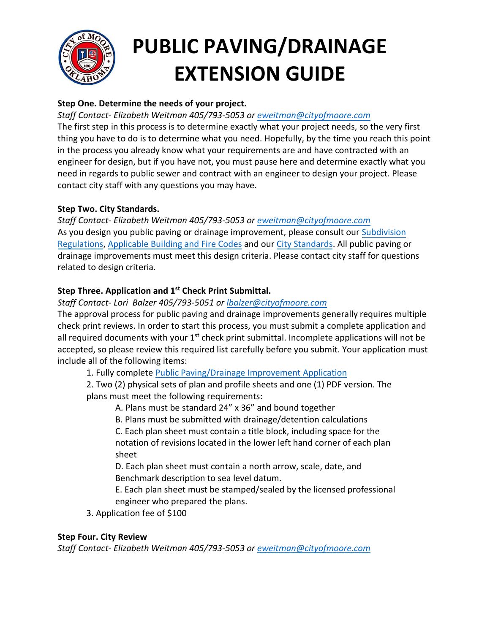

# **PUBLIC PAVING/DRAINAGE EXTENSION GUIDE**

# **Step One. Determine the needs of your project.**

# *Staff Contact- Elizabeth Weitman 405/793-5053 or [eweitman@cityofmoore.com](mailto:eweitman@cityofmoore.com)*

The first step in this process is to determine exactly what your project needs, so the very first thing you have to do is to determine what you need. Hopefully, by the time you reach this point in the process you already know what your requirements are and have contracted with an engineer for design, but if you have not, you must pause here and determine exactly what you need in regards to public sewer and contract with an engineer to design your project. Please contact city staff with any questions you may have.

# **Step Two. City Standards.**

*Staff Contact- Elizabeth Weitman 405/793-5053 or [eweitman@cityofmoore.com](mailto:eweitman@cityofmoore.com)* As you design you public paving or drainage improvement, please consult our [Subdivision](https://library.municode.com/ok/moore/codes/land_development_code?nodeId=PT12LADECO_CH5SURE) [Regulations,](https://library.municode.com/ok/moore/codes/land_development_code?nodeId=PT12LADECO_CH5SURE) [Applicable Building and Fire Codes](https://library.municode.com/ok/moore/codes/code_of_ordinances?nodeId=PT5BURECO_CH2BUCORE_ARTDAWCAPACO) and our [City Standards.](https://www.cityofmoore.com/departments/planning-development/public-improvements) All public paving or drainage improvements must meet this design criteria. Please contact city staff for questions related to design criteria.

# **Step Three. Application and 1 st Check Print Submittal.**

*Staff Contact- Lori Balzer 405/793-5051 or lbalzer[@cityofmoore.c](mailto:nkerbo@cityofmoore.com)om*

The approval process for public paving and drainage improvements generally requires multiple check print reviews. In order to start this process, you must submit a complete application and all required documents with your 1<sup>st</sup> check print submittal. Incomplete applications will not be accepted, so please review this required list carefully before you submit. Your application must include all of the following items:

1. Fully complete [Public Paving/Drainage Improvement Application](https://www.dropbox.com/s/z7za6hu9j70ncd7/Public%20Improvement%20Application.pdf?dl=0)

2. Two (2) physical sets of plan and profile sheets and one (1) PDF version. The plans must meet the following requirements:

A. Plans must be standard 24" x 36" and bound together

B. Plans must be submitted with drainage/detention calculations

C. Each plan sheet must contain a title block, including space for the notation of revisions located in the lower left hand corner of each plan sheet

D. Each plan sheet must contain a north arrow, scale, date, and Benchmark description to sea level datum.

E. Each plan sheet must be stamped/sealed by the licensed professional engineer who prepared the plans.

3. Application fee of \$100

# **Step Four. City Review**

*Staff Contact- Elizabeth Weitman 405/793-5053 or [eweitman@cityofmoore.com](mailto:eweitman@cityofmoore.com)*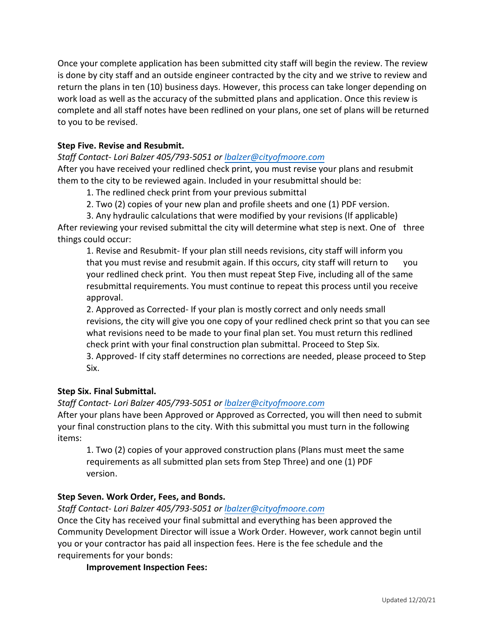Once your complete application has been submitted city staff will begin the review. The review is done by city staff and an outside engineer contracted by the city and we strive to review and return the plans in ten (10) business days. However, this process can take longer depending on work load as well as the accuracy of the submitted plans and application. Once this review is complete and all staff notes have been redlined on your plans, one set of plans will be returned to you to be revised.

## **Step Five. Revise and Resubmit.**

*Staff Contact- Lori Balzer 405/793-5051 or lbalzer[@cityofmoore.c](mailto:nkerbo@cityofmoore.com)om*

After you have received your redlined check print, you must revise your plans and resubmit them to the city to be reviewed again. Included in your resubmittal should be:

1. The redlined check print from your previous submittal

2. Two (2) copies of your new plan and profile sheets and one (1) PDF version.

3. Any hydraulic calculations that were modified by your revisions (If applicable) After reviewing your revised submittal the city will determine what step is next. One of three things could occur:

1. Revise and Resubmit- If your plan still needs revisions, city staff will inform you that you must revise and resubmit again. If this occurs, city staff will return to you your redlined check print. You then must repeat Step Five, including all of the same resubmittal requirements. You must continue to repeat this process until you receive approval.

2. Approved as Corrected- If your plan is mostly correct and only needs small revisions, the city will give you one copy of your redlined check print so that you can see what revisions need to be made to your final plan set. You must return this redlined check print with your final construction plan submittal. Proceed to Step Six.

3. Approved- If city staff determines no corrections are needed, please proceed to Step Six.

## **Step Six. Final Submittal.**

*Staff Contact- Lori Balzer 405/793-5051 or lbalzer[@cityofmoore.c](mailto:nkerbo@cityofmoore.com)om*

After your plans have been Approved or Approved as Corrected, you will then need to submit your final construction plans to the city. With this submittal you must turn in the following items:

1. Two (2) copies of your approved construction plans (Plans must meet the same requirements as all submitted plan sets from Step Three) and one (1) PDF version.

#### **Step Seven. Work Order, Fees, and Bonds.**

*Staff Contact- Lori Balzer 405/793-5051 or lbalzer[@cityofmoore.c](mailto:nkerbo@cityofmoore.com)om*

Once the City has received your final submittal and everything has been approved the Community Development Director will issue a Work Order. However, work cannot begin until you or your contractor has paid all inspection fees. Here is the fee schedule and the requirements for your bonds:

**Improvement Inspection Fees:**